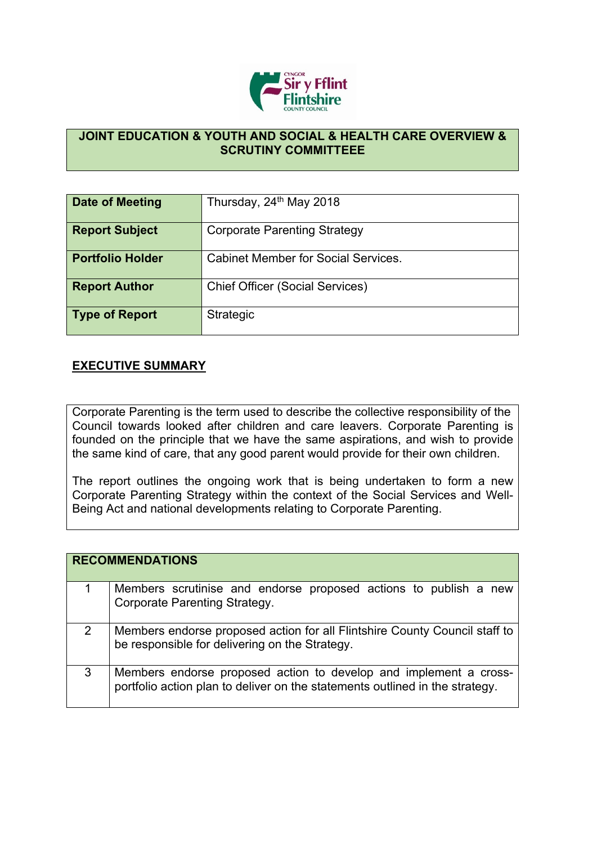

## **JOINT EDUCATION & YOUTH AND SOCIAL & HEALTH CARE OVERVIEW & SCRUTINY COMMITTEEE**

| Date of Meeting         | Thursday, 24 <sup>th</sup> May 2018        |
|-------------------------|--------------------------------------------|
| <b>Report Subject</b>   | <b>Corporate Parenting Strategy</b>        |
| <b>Portfolio Holder</b> | <b>Cabinet Member for Social Services.</b> |
| <b>Report Author</b>    | <b>Chief Officer (Social Services)</b>     |
| Type of Report          | Strategic                                  |

## **EXECUTIVE SUMMARY**

Corporate Parenting is the term used to describe the collective responsibility of the Council towards looked after children and care leavers. Corporate Parenting is founded on the principle that we have the same aspirations, and wish to provide the same kind of care, that any good parent would provide for their own children.

The report outlines the ongoing work that is being undertaken to form a new Corporate Parenting Strategy within the context of the Social Services and Well-Being Act and national developments relating to Corporate Parenting.

|   | <b>RECOMMENDATIONS</b>                                                                                                                            |
|---|---------------------------------------------------------------------------------------------------------------------------------------------------|
|   | Members scrutinise and endorse proposed actions to publish a new<br><b>Corporate Parenting Strategy.</b>                                          |
| 2 | Members endorse proposed action for all Flintshire County Council staff to<br>be responsible for delivering on the Strategy.                      |
| 3 | Members endorse proposed action to develop and implement a cross-<br>portfolio action plan to deliver on the statements outlined in the strategy. |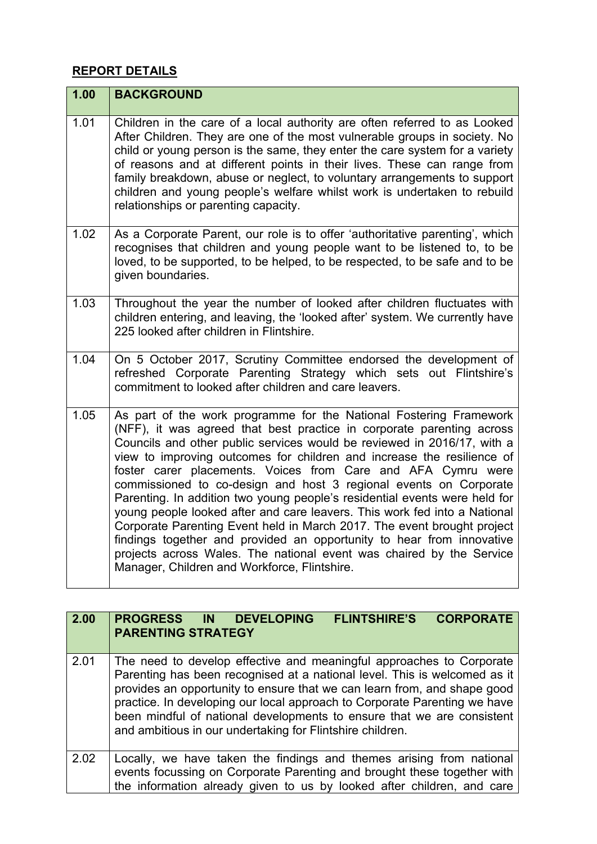## **REPORT DETAILS**

| 1.00 | <b>BACKGROUND</b>                                                                                                                                                                                                                                                                                                                                                                                                                                                                                                                                                                                                                                                                                                                                                                                                                                                            |
|------|------------------------------------------------------------------------------------------------------------------------------------------------------------------------------------------------------------------------------------------------------------------------------------------------------------------------------------------------------------------------------------------------------------------------------------------------------------------------------------------------------------------------------------------------------------------------------------------------------------------------------------------------------------------------------------------------------------------------------------------------------------------------------------------------------------------------------------------------------------------------------|
| 1.01 | Children in the care of a local authority are often referred to as Looked<br>After Children. They are one of the most vulnerable groups in society. No<br>child or young person is the same, they enter the care system for a variety<br>of reasons and at different points in their lives. These can range from<br>family breakdown, abuse or neglect, to voluntary arrangements to support<br>children and young people's welfare whilst work is undertaken to rebuild<br>relationships or parenting capacity.                                                                                                                                                                                                                                                                                                                                                             |
| 1.02 | As a Corporate Parent, our role is to offer 'authoritative parenting', which<br>recognises that children and young people want to be listened to, to be<br>loved, to be supported, to be helped, to be respected, to be safe and to be<br>given boundaries.                                                                                                                                                                                                                                                                                                                                                                                                                                                                                                                                                                                                                  |
| 1.03 | Throughout the year the number of looked after children fluctuates with<br>children entering, and leaving, the 'looked after' system. We currently have<br>225 looked after children in Flintshire.                                                                                                                                                                                                                                                                                                                                                                                                                                                                                                                                                                                                                                                                          |
| 1.04 | On 5 October 2017, Scrutiny Committee endorsed the development of<br>refreshed Corporate Parenting Strategy which sets out Flintshire's<br>commitment to looked after children and care leavers.                                                                                                                                                                                                                                                                                                                                                                                                                                                                                                                                                                                                                                                                             |
| 1.05 | As part of the work programme for the National Fostering Framework<br>(NFF), it was agreed that best practice in corporate parenting across<br>Councils and other public services would be reviewed in 2016/17, with a<br>view to improving outcomes for children and increase the resilience of<br>foster carer placements. Voices from Care and AFA Cymru were<br>commissioned to co-design and host 3 regional events on Corporate<br>Parenting. In addition two young people's residential events were held for<br>young people looked after and care leavers. This work fed into a National<br>Corporate Parenting Event held in March 2017. The event brought project<br>findings together and provided an opportunity to hear from innovative<br>projects across Wales. The national event was chaired by the Service<br>Manager, Children and Workforce, Flintshire. |

| 2.00 | <b>CORPORATE</b><br>PROGRESS IN DEVELOPING<br><b>FLINTSHIRE'S</b><br><b>PARENTING STRATEGY</b>                                                                                                                                                                                                                                                                                                                                                    |
|------|---------------------------------------------------------------------------------------------------------------------------------------------------------------------------------------------------------------------------------------------------------------------------------------------------------------------------------------------------------------------------------------------------------------------------------------------------|
| 2.01 | The need to develop effective and meaningful approaches to Corporate<br>Parenting has been recognised at a national level. This is welcomed as it<br>provides an opportunity to ensure that we can learn from, and shape good<br>practice. In developing our local approach to Corporate Parenting we have<br>been mindful of national developments to ensure that we are consistent<br>and ambitious in our undertaking for Flintshire children. |
| 2.02 | Locally, we have taken the findings and themes arising from national<br>events focussing on Corporate Parenting and brought these together with<br>the information already given to us by looked after children, and care                                                                                                                                                                                                                         |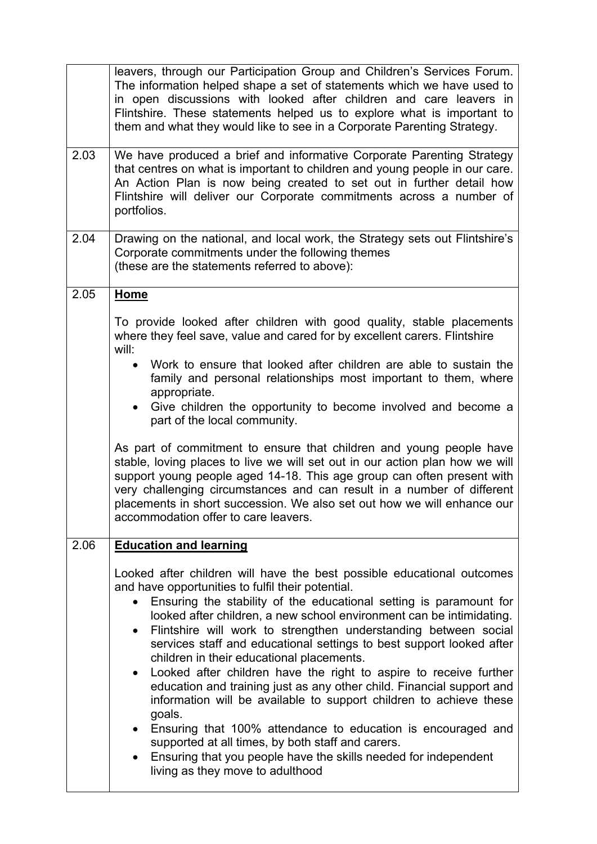|      | leavers, through our Participation Group and Children's Services Forum.<br>The information helped shape a set of statements which we have used to<br>in open discussions with looked after children and care leavers in<br>Flintshire. These statements helped us to explore what is important to<br>them and what they would like to see in a Corporate Parenting Strategy.                                                                                                                                                                                                                                                                                                                                                                                                                                                                                                                                                                                                           |
|------|----------------------------------------------------------------------------------------------------------------------------------------------------------------------------------------------------------------------------------------------------------------------------------------------------------------------------------------------------------------------------------------------------------------------------------------------------------------------------------------------------------------------------------------------------------------------------------------------------------------------------------------------------------------------------------------------------------------------------------------------------------------------------------------------------------------------------------------------------------------------------------------------------------------------------------------------------------------------------------------|
| 2.03 | We have produced a brief and informative Corporate Parenting Strategy<br>that centres on what is important to children and young people in our care.<br>An Action Plan is now being created to set out in further detail how<br>Flintshire will deliver our Corporate commitments across a number of<br>portfolios.                                                                                                                                                                                                                                                                                                                                                                                                                                                                                                                                                                                                                                                                    |
| 2.04 | Drawing on the national, and local work, the Strategy sets out Flintshire's<br>Corporate commitments under the following themes<br>(these are the statements referred to above):                                                                                                                                                                                                                                                                                                                                                                                                                                                                                                                                                                                                                                                                                                                                                                                                       |
| 2.05 | <b>Home</b><br>To provide looked after children with good quality, stable placements<br>where they feel save, value and cared for by excellent carers. Flintshire<br>will:<br>Work to ensure that looked after children are able to sustain the<br>$\bullet$<br>family and personal relationships most important to them, where<br>appropriate.<br>Give children the opportunity to become involved and become a<br>$\bullet$<br>part of the local community.<br>As part of commitment to ensure that children and young people have<br>stable, loving places to live we will set out in our action plan how we will<br>support young people aged 14-18. This age group can often present with<br>very challenging circumstances and can result in a number of different<br>placements in short succession. We also set out how we will enhance our<br>accommodation offer to care leavers.                                                                                            |
| 2.06 | <b>Education and learning</b><br>Looked after children will have the best possible educational outcomes<br>and have opportunities to fulfil their potential.<br>Ensuring the stability of the educational setting is paramount for<br>looked after children, a new school environment can be intimidating.<br>Flintshire will work to strengthen understanding between social<br>$\bullet$<br>services staff and educational settings to best support looked after<br>children in their educational placements.<br>Looked after children have the right to aspire to receive further<br>$\bullet$<br>education and training just as any other child. Financial support and<br>information will be available to support children to achieve these<br>goals.<br>Ensuring that 100% attendance to education is encouraged and<br>supported at all times, by both staff and carers.<br>Ensuring that you people have the skills needed for independent<br>living as they move to adulthood |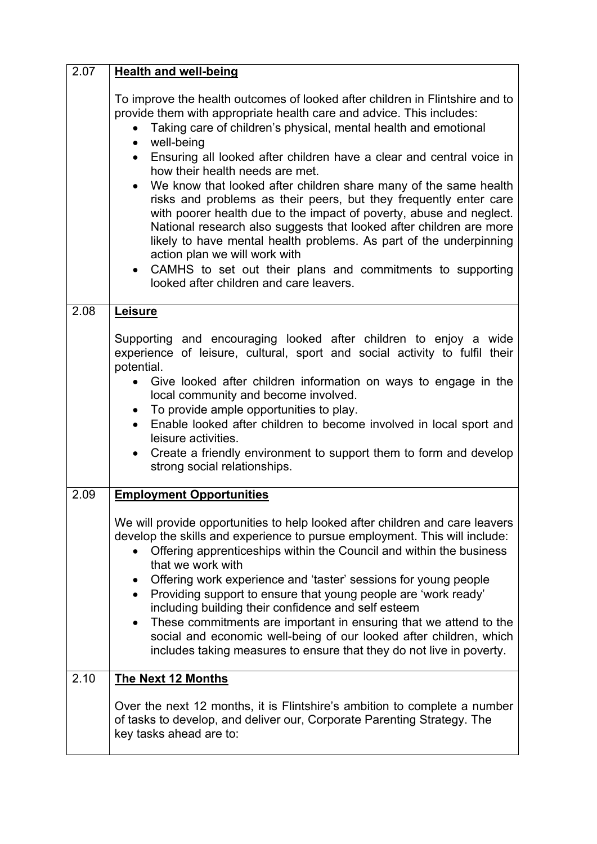| 2.07 | <b>Health and well-being</b>                                                                                                                                                                                                                                                                                                                                                               |
|------|--------------------------------------------------------------------------------------------------------------------------------------------------------------------------------------------------------------------------------------------------------------------------------------------------------------------------------------------------------------------------------------------|
|      | To improve the health outcomes of looked after children in Flintshire and to<br>provide them with appropriate health care and advice. This includes:<br>Taking care of children's physical, mental health and emotional<br>well-being<br>$\bullet$<br>Ensuring all looked after children have a clear and central voice in<br>$\bullet$<br>how their health needs are met.                 |
|      | We know that looked after children share many of the same health<br>risks and problems as their peers, but they frequently enter care<br>with poorer health due to the impact of poverty, abuse and neglect.<br>National research also suggests that looked after children are more<br>likely to have mental health problems. As part of the underpinning<br>action plan we will work with |
|      | CAMHS to set out their plans and commitments to supporting<br>looked after children and care leavers.                                                                                                                                                                                                                                                                                      |
| 2.08 | Leisure                                                                                                                                                                                                                                                                                                                                                                                    |
|      | Supporting and encouraging looked after children to enjoy a wide<br>experience of leisure, cultural, sport and social activity to fulfil their<br>potential.<br>Give looked after children information on ways to engage in the                                                                                                                                                            |
|      | local community and become involved.                                                                                                                                                                                                                                                                                                                                                       |
|      | To provide ample opportunities to play.<br>$\bullet$<br>Enable looked after children to become involved in local sport and<br>$\bullet$<br>leisure activities.                                                                                                                                                                                                                             |
|      | Create a friendly environment to support them to form and develop<br>$\bullet$<br>strong social relationships.                                                                                                                                                                                                                                                                             |
| 2.09 | <b>Employment Opportunities</b>                                                                                                                                                                                                                                                                                                                                                            |
|      | We will provide opportunities to help looked after children and care leavers<br>develop the skills and experience to pursue employment. This will include:<br>Offering apprenticeships within the Council and within the business<br>that we work with                                                                                                                                     |
|      | Offering work experience and 'taster' sessions for young people<br>$\bullet$<br>Providing support to ensure that young people are 'work ready'<br>including building their confidence and self esteem                                                                                                                                                                                      |
|      | These commitments are important in ensuring that we attend to the<br>$\bullet$<br>social and economic well-being of our looked after children, which<br>includes taking measures to ensure that they do not live in poverty.                                                                                                                                                               |
| 2.10 | <b>The Next 12 Months</b>                                                                                                                                                                                                                                                                                                                                                                  |
|      | Over the next 12 months, it is Flintshire's ambition to complete a number<br>of tasks to develop, and deliver our, Corporate Parenting Strategy. The<br>key tasks ahead are to:                                                                                                                                                                                                            |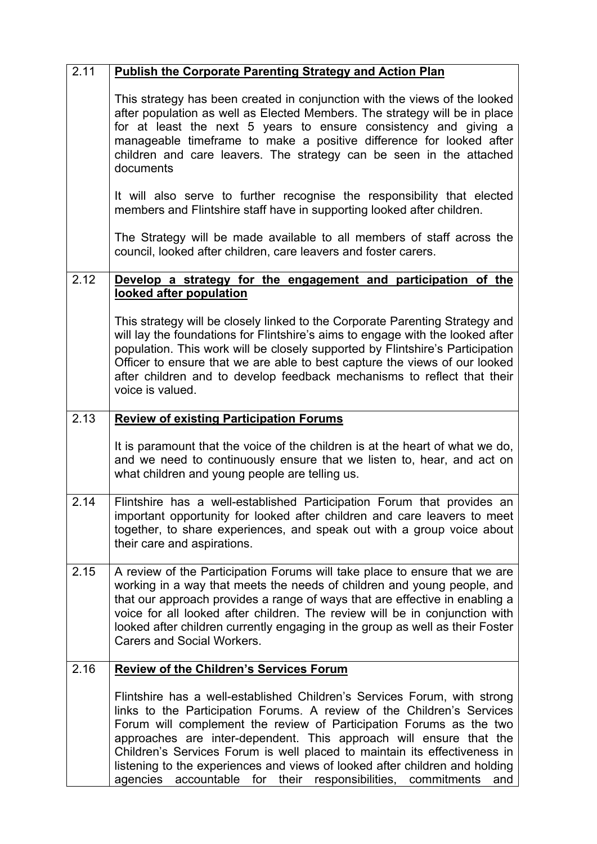| 2.11 | <b>Publish the Corporate Parenting Strategy and Action Plan</b>                                                                                                                                                                                                                                                                                                                                                                                                                                                                                   |
|------|---------------------------------------------------------------------------------------------------------------------------------------------------------------------------------------------------------------------------------------------------------------------------------------------------------------------------------------------------------------------------------------------------------------------------------------------------------------------------------------------------------------------------------------------------|
|      | This strategy has been created in conjunction with the views of the looked<br>after population as well as Elected Members. The strategy will be in place<br>for at least the next 5 years to ensure consistency and giving a<br>manageable timeframe to make a positive difference for looked after<br>children and care leavers. The strategy can be seen in the attached<br>documents                                                                                                                                                           |
|      | It will also serve to further recognise the responsibility that elected<br>members and Flintshire staff have in supporting looked after children.                                                                                                                                                                                                                                                                                                                                                                                                 |
|      | The Strategy will be made available to all members of staff across the<br>council, looked after children, care leavers and foster carers.                                                                                                                                                                                                                                                                                                                                                                                                         |
| 2.12 | Develop a strategy for the engagement and participation of the<br>looked after population                                                                                                                                                                                                                                                                                                                                                                                                                                                         |
|      | This strategy will be closely linked to the Corporate Parenting Strategy and<br>will lay the foundations for Flintshire's aims to engage with the looked after<br>population. This work will be closely supported by Flintshire's Participation<br>Officer to ensure that we are able to best capture the views of our looked<br>after children and to develop feedback mechanisms to reflect that their<br>voice is valued.                                                                                                                      |
| 2.13 | <b>Review of existing Participation Forums</b>                                                                                                                                                                                                                                                                                                                                                                                                                                                                                                    |
|      | It is paramount that the voice of the children is at the heart of what we do,<br>and we need to continuously ensure that we listen to, hear, and act on<br>what children and young people are telling us.                                                                                                                                                                                                                                                                                                                                         |
| 2.14 | Flintshire has a well-established Participation Forum that provides an<br>important opportunity for looked after children and care leavers to meet<br>together, to share experiences, and speak out with a group voice about<br>their care and aspirations.                                                                                                                                                                                                                                                                                       |
| 2.15 | A review of the Participation Forums will take place to ensure that we are<br>working in a way that meets the needs of children and young people, and<br>that our approach provides a range of ways that are effective in enabling a<br>voice for all looked after children. The review will be in conjunction with<br>looked after children currently engaging in the group as well as their Foster<br>Carers and Social Workers.                                                                                                                |
| 2.16 | <b>Review of the Children's Services Forum</b>                                                                                                                                                                                                                                                                                                                                                                                                                                                                                                    |
|      | Flintshire has a well-established Children's Services Forum, with strong<br>links to the Participation Forums. A review of the Children's Services<br>Forum will complement the review of Participation Forums as the two<br>approaches are inter-dependent. This approach will ensure that the<br>Children's Services Forum is well placed to maintain its effectiveness in<br>listening to the experiences and views of looked after children and holding<br>agencies<br>accountable<br>for<br>their<br>responsibilities,<br>commitments<br>and |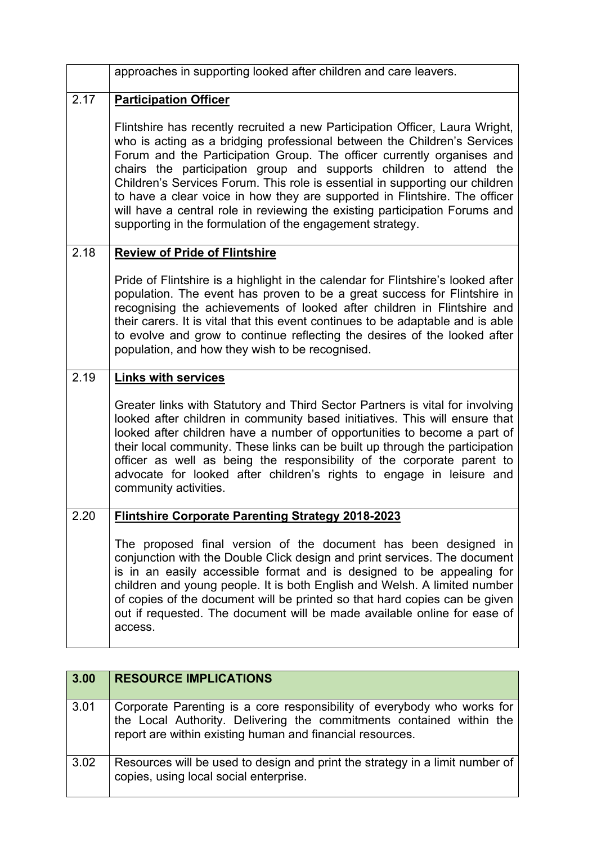|      | approaches in supporting looked after children and care leavers.                                                                                                                                                                                                                                                                                                                                                                                                                                                                                                                                                   |
|------|--------------------------------------------------------------------------------------------------------------------------------------------------------------------------------------------------------------------------------------------------------------------------------------------------------------------------------------------------------------------------------------------------------------------------------------------------------------------------------------------------------------------------------------------------------------------------------------------------------------------|
| 2.17 | <b>Participation Officer</b>                                                                                                                                                                                                                                                                                                                                                                                                                                                                                                                                                                                       |
|      | Flintshire has recently recruited a new Participation Officer, Laura Wright,<br>who is acting as a bridging professional between the Children's Services<br>Forum and the Participation Group. The officer currently organises and<br>chairs the participation group and supports children to attend the<br>Children's Services Forum. This role is essential in supporting our children<br>to have a clear voice in how they are supported in Flintshire. The officer<br>will have a central role in reviewing the existing participation Forums and<br>supporting in the formulation of the engagement strategy. |
| 2.18 | <b>Review of Pride of Flintshire</b>                                                                                                                                                                                                                                                                                                                                                                                                                                                                                                                                                                               |
|      | Pride of Flintshire is a highlight in the calendar for Flintshire's looked after<br>population. The event has proven to be a great success for Flintshire in<br>recognising the achievements of looked after children in Flintshire and<br>their carers. It is vital that this event continues to be adaptable and is able<br>to evolve and grow to continue reflecting the desires of the looked after<br>population, and how they wish to be recognised.                                                                                                                                                         |
| 2.19 | <b>Links with services</b>                                                                                                                                                                                                                                                                                                                                                                                                                                                                                                                                                                                         |
|      | Greater links with Statutory and Third Sector Partners is vital for involving<br>looked after children in community based initiatives. This will ensure that<br>looked after children have a number of opportunities to become a part of<br>their local community. These links can be built up through the participation<br>officer as well as being the responsibility of the corporate parent to<br>advocate for looked after children's rights to engage in leisure and<br>community activities.                                                                                                                |
| 2.20 | <b>Flintshire Corporate Parenting Strategy 2018-2023</b>                                                                                                                                                                                                                                                                                                                                                                                                                                                                                                                                                           |
|      | The proposed final version of the document has been designed in<br>conjunction with the Double Click design and print services. The document<br>is in an easily accessible format and is designed to be appealing for<br>children and young people. It is both English and Welsh. A limited number<br>of copies of the document will be printed so that hard copies can be given<br>out if requested. The document will be made available online for ease of<br>access.                                                                                                                                            |

| 3.00 | <b>RESOURCE IMPLICATIONS</b>                                                                                                                                                                                 |
|------|--------------------------------------------------------------------------------------------------------------------------------------------------------------------------------------------------------------|
| 3.01 | Corporate Parenting is a core responsibility of everybody who works for<br>the Local Authority. Delivering the commitments contained within the<br>report are within existing human and financial resources. |
| 3.02 | Resources will be used to design and print the strategy in a limit number of<br>copies, using local social enterprise.                                                                                       |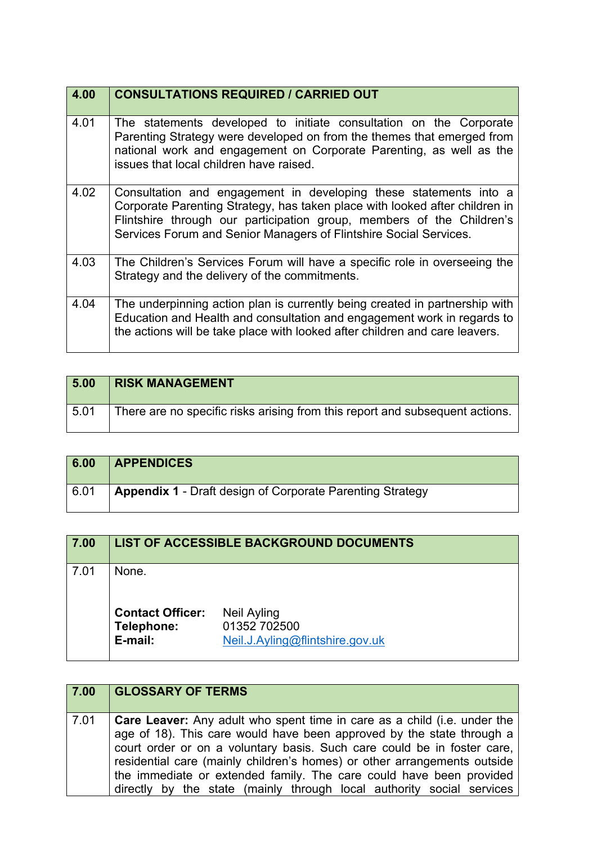| 4.00 | <b>CONSULTATIONS REQUIRED / CARRIED OUT</b>                                                                                                                                                                                                                                                    |
|------|------------------------------------------------------------------------------------------------------------------------------------------------------------------------------------------------------------------------------------------------------------------------------------------------|
| 4.01 | The statements developed to initiate consultation on the Corporate<br>Parenting Strategy were developed on from the themes that emerged from<br>national work and engagement on Corporate Parenting, as well as the<br>issues that local children have raised.                                 |
| 4.02 | Consultation and engagement in developing these statements into a<br>Corporate Parenting Strategy, has taken place with looked after children in<br>Flintshire through our participation group, members of the Children's<br>Services Forum and Senior Managers of Flintshire Social Services. |
| 4.03 | The Children's Services Forum will have a specific role in overseeing the<br>Strategy and the delivery of the commitments.                                                                                                                                                                     |
| 4.04 | The underpinning action plan is currently being created in partnership with<br>Education and Health and consultation and engagement work in regards to<br>the actions will be take place with looked after children and care leavers.                                                          |

| 5.00 | <b>RISK MANAGEMENT</b>                                                       |
|------|------------------------------------------------------------------------------|
| 5.01 | There are no specific risks arising from this report and subsequent actions. |

| 6.00 | <b>APPENDICES</b>                                                |
|------|------------------------------------------------------------------|
| 6.01 | <b>Appendix 1 - Draft design of Corporate Parenting Strategy</b> |

| 7.00 | <b>LIST OF ACCESSIBLE BACKGROUND DOCUMENTS</b>            |                                                                       |
|------|-----------------------------------------------------------|-----------------------------------------------------------------------|
| 7.01 | None.<br><b>Contact Officer:</b><br>Telephone:<br>E-mail: | <b>Neil Ayling</b><br>01352 702500<br>Neil.J.Ayling@flintshire.gov.uk |

| 7.00 | <b>GLOSSARY OF TERMS</b>                                                                                                                                                                                                                                                                                                                                                                                                                                        |
|------|-----------------------------------------------------------------------------------------------------------------------------------------------------------------------------------------------------------------------------------------------------------------------------------------------------------------------------------------------------------------------------------------------------------------------------------------------------------------|
| 7.01 | <b>Care Leaver:</b> Any adult who spent time in care as a child (i.e. under the<br>age of 18). This care would have been approved by the state through a<br>court order or on a voluntary basis. Such care could be in foster care,<br>residential care (mainly children's homes) or other arrangements outside<br>the immediate or extended family. The care could have been provided<br>directly by the state (mainly through local authority social services |